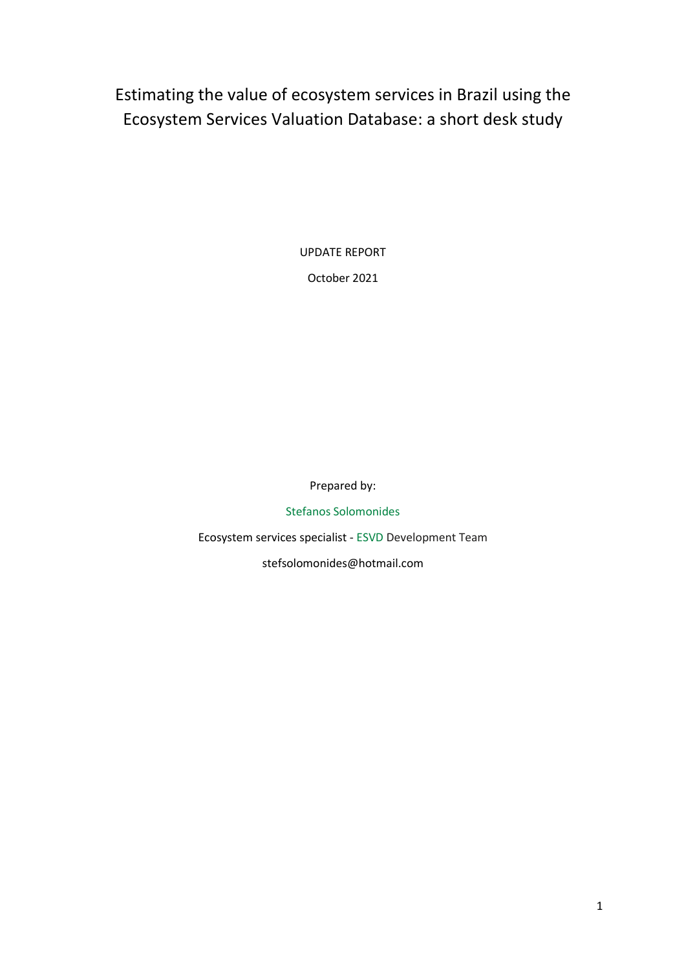Estimating the value of ecosystem services in Brazil using the Ecosystem Services Valuation Database: a short desk study

UPDATE REPORT

October 2021

Prepared by:

[Stefanos Solomonides](https://www.linkedin.com/in/stefanos-solomonides-642699136/)

Ecosystem services specialist - [ESVD](esvd.info) Development Team stefsolomonides@hotmail.com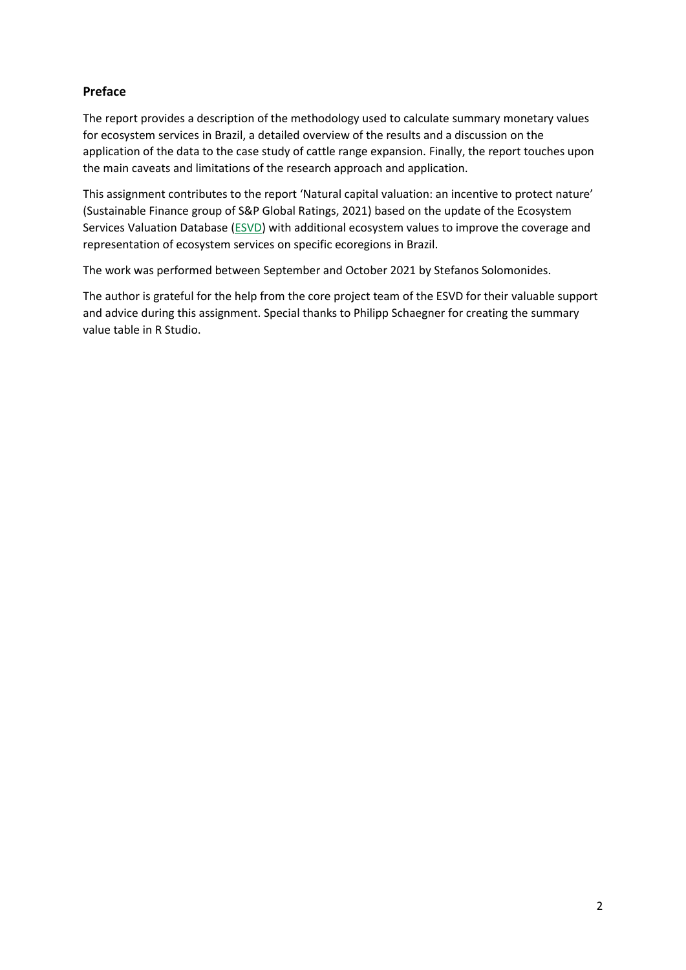# **Preface**

The report provides a description of the methodology used to calculate summary monetary values for ecosystem services in Brazil, a detailed overview of the results and a discussion on the application of the data to the case study of cattle range expansion. Finally, the report touches upon the main caveats and limitations of the research approach and application.

This assignment contributes to the report 'Natural capital valuation: an incentive to protect nature' (Sustainable Finance group of S&P Global Ratings, 2021) based on the update of the Ecosystem Services Valuation Database [\(ESVD\)](https://esvd.info/) with additional ecosystem values to improve the coverage and representation of ecosystem services on specific ecoregions in Brazil.

The work was performed between September and October 2021 by Stefanos Solomonides.

The author is grateful for the help from the core project team of the ESVD for their valuable support and advice during this assignment. Special thanks to Philipp Schaegner for creating the summary value table in R Studio.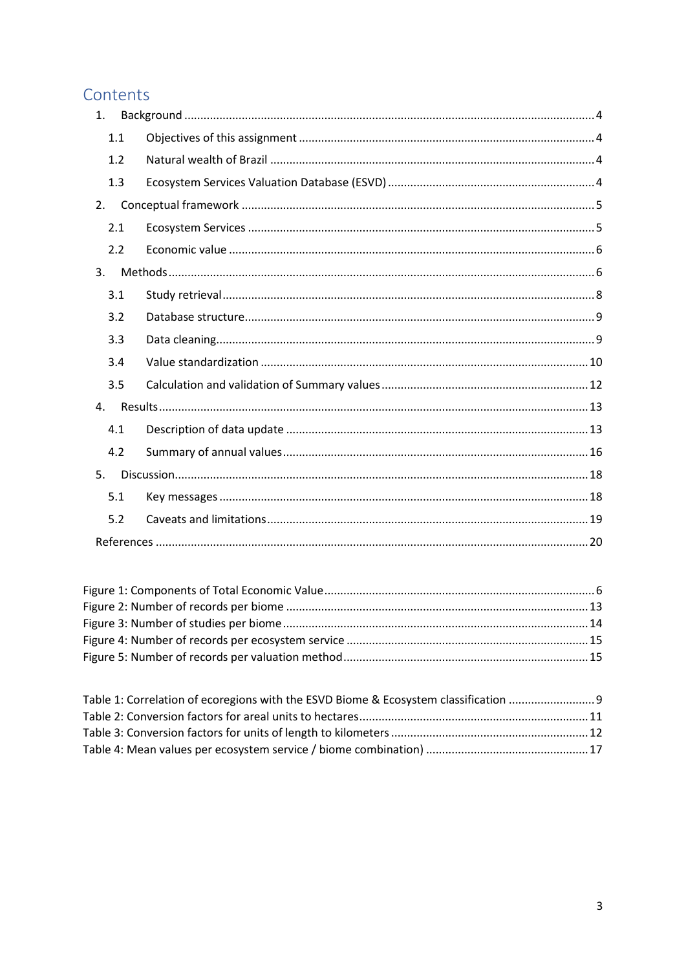# Contents

| 1.  |  |
|-----|--|
| 1.1 |  |
| 1.2 |  |
| 1.3 |  |
| 2.  |  |
| 2.1 |  |
| 2.2 |  |
| 3.  |  |
| 3.1 |  |
| 3.2 |  |
| 3.3 |  |
| 3.4 |  |
| 3.5 |  |
| 4.  |  |
| 4.1 |  |
| 4.2 |  |
| 5.  |  |
| 5.1 |  |
| 5.2 |  |
|     |  |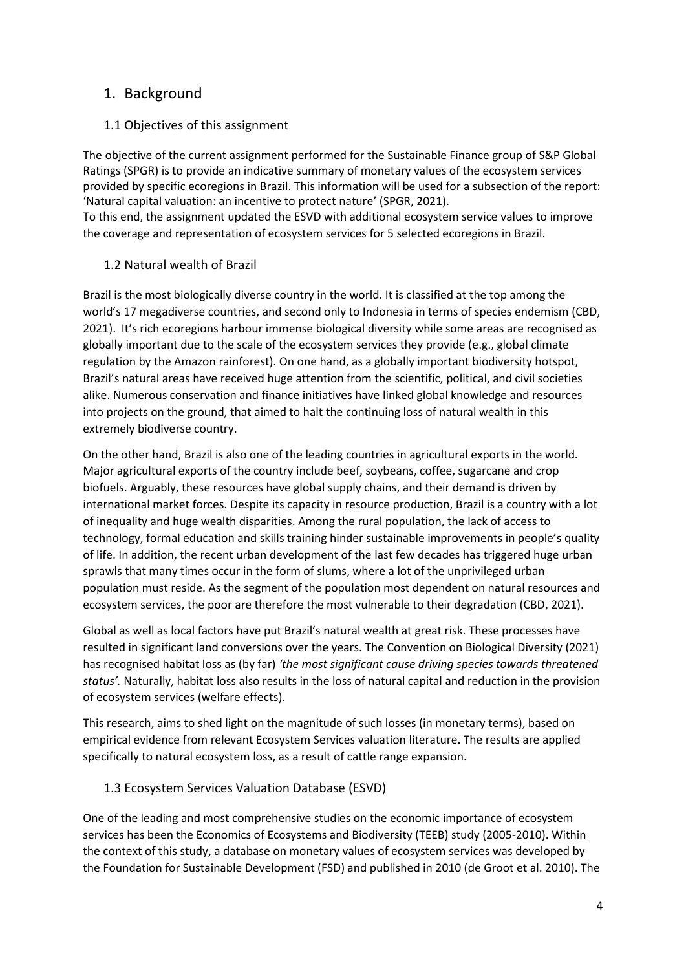# <span id="page-3-0"></span>1. Background

# <span id="page-3-1"></span>1.1 Objectives of this assignment

The objective of the current assignment performed for the Sustainable Finance group of S&P Global Ratings (SPGR) is to provide an indicative summary of monetary values of the ecosystem services provided by specific ecoregions in Brazil. This information will be used for a subsection of the report: 'Natural capital valuation: an incentive to protect nature' (SPGR, 2021).

To this end, the assignment updated the ESVD with additional ecosystem service values to improve the coverage and representation of ecosystem services for 5 selected ecoregions in Brazil.

#### <span id="page-3-2"></span>1.2 Natural wealth of Brazil

Brazil is the most biologically diverse country in the world. It is classified at the top among the world's 17 megadiverse countries, and second only to Indonesia in terms of species endemism (CBD, 2021). It's rich ecoregions harbour immense biological diversity while some areas are recognised as globally important due to the scale of the ecosystem services they provide (e.g., global climate regulation by the Amazon rainforest). On one hand, as a globally important biodiversity hotspot, Brazil's natural areas have received huge attention from the scientific, political, and civil societies alike. Numerous conservation and finance initiatives have linked global knowledge and resources into projects on the ground, that aimed to halt the continuing loss of natural wealth in this extremely biodiverse country.

On the other hand, Brazil is also one of the leading countries in agricultural exports in the world. Major agricultural exports of the country include beef, soybeans, coffee, sugarcane and crop biofuels. Arguably, these resources have global supply chains, and their demand is driven by international market forces. Despite its capacity in resource production, Brazil is a country with a lot of inequality and huge wealth disparities. Among the rural population, the lack of access to technology, formal education and skills training hinder sustainable improvements in people's quality of life. In addition, the recent urban development of the last few decades has triggered huge urban sprawls that many times occur in the form of slums, where a lot of the unprivileged urban population must reside. As the segment of the population most dependent on natural resources and ecosystem services, the poor are therefore the most vulnerable to their degradation (CBD, 2021).

Global as well as local factors have put Brazil's natural wealth at great risk. These processes have resulted in significant land conversions over the years. The Convention on Biological Diversity (2021) has recognised habitat loss as (by far) *'the most significant cause driving species towards threatened status'.* Naturally, habitat loss also results in the loss of natural capital and reduction in the provision of ecosystem services (welfare effects).

This research, aims to shed light on the magnitude of such losses (in monetary terms), based on empirical evidence from relevant Ecosystem Services valuation literature. The results are applied specifically to natural ecosystem loss, as a result of cattle range expansion.

# <span id="page-3-3"></span>1.3 Ecosystem Services Valuation Database (ESVD)

One of the leading and most comprehensive studies on the economic importance of ecosystem services has been the Economics of Ecosystems and Biodiversity (TEEB) study (2005-2010). Within the context of this study, a database on monetary values of ecosystem services was developed by the Foundation for Sustainable Development (FSD) and published in 2010 (de Groot et al. 2010). The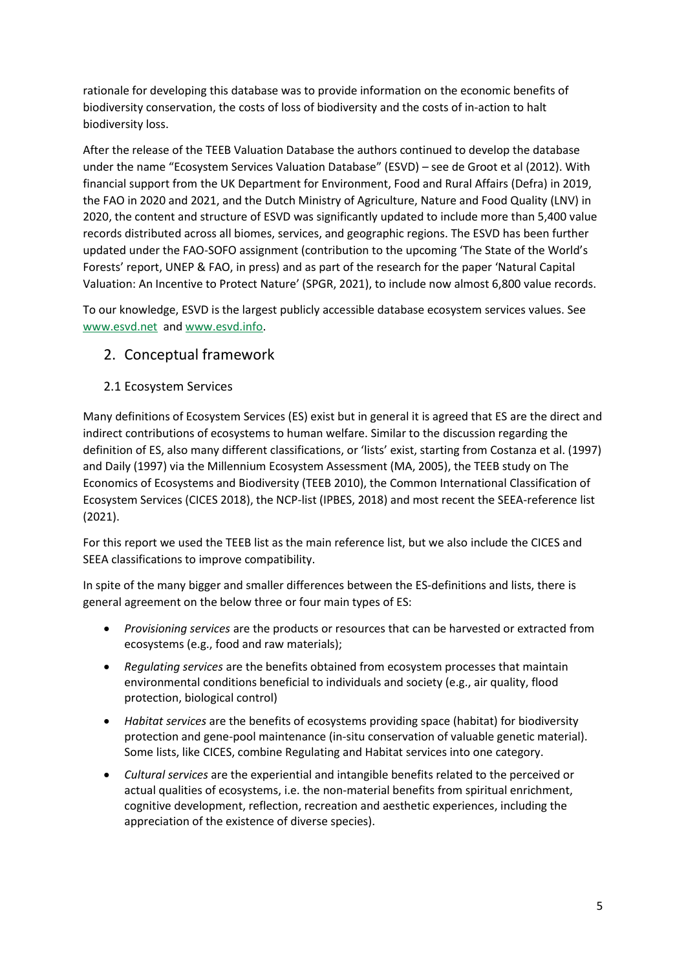rationale for developing this database was to provide information on the economic benefits of biodiversity conservation, the costs of loss of biodiversity and the costs of in-action to halt biodiversity loss.

After the release of the TEEB Valuation Database the authors continued to develop the database under the name "Ecosystem Services Valuation Database" (ESVD) – see de Groot et al (2012). With financial support from the UK Department for Environment, Food and Rural Affairs (Defra) in 2019, the FAO in 2020 and 2021, and the Dutch Ministry of Agriculture, Nature and Food Quality (LNV) in 2020, the content and structure of ESVD was significantly updated to include more than 5,400 value records distributed across all biomes, services, and geographic regions. The ESVD has been further updated under the FAO-SOFO assignment (contribution to the upcoming 'The State of the World's Forests' report, UNEP & FAO, in press) and as part of the research for the paper 'Natural Capital Valuation: An Incentive to Protect Nature' (SPGR, 2021), to include now almost 6,800 value records.

To our knowledge, ESVD is the largest publicly accessible database ecosystem services values. See [www.esvd.net](http://www.esvd.net/) and [www.esvd.info.](http://www.esvd.infot/)

# <span id="page-4-0"></span>2. Conceptual framework

# <span id="page-4-1"></span>2.1 Ecosystem Services

Many definitions of Ecosystem Services (ES) exist but in general it is agreed that ES are the direct and indirect contributions of ecosystems to human welfare. Similar to the discussion regarding the definition of ES, also many different classifications, or 'lists' exist, starting from Costanza et al. (1997) and Daily (1997) via the Millennium Ecosystem Assessment (MA, 2005), the TEEB study on The Economics of Ecosystems and Biodiversity (TEEB 2010), the Common International Classification of Ecosystem Services (CICES 2018), the NCP-list (IPBES, 2018) and most recent the SEEA-reference list (2021).

For this report we used the TEEB list as the main reference list, but we also include the CICES and SEEA classifications to improve compatibility.

In spite of the many bigger and smaller differences between the ES-definitions and lists, there is general agreement on the below three or four main types of ES:

- *Provisioning services* are the products or resources that can be harvested or extracted from ecosystems (e.g., food and raw materials);
- *Regulating services* are the benefits obtained from ecosystem processes that maintain environmental conditions beneficial to individuals and society (e.g., air quality, flood protection, biological control)
- *Habitat services* are the benefits of ecosystems providing space (habitat) for biodiversity protection and gene-pool maintenance (in-situ conservation of valuable genetic material). Some lists, like CICES, combine Regulating and Habitat services into one category.
- *Cultural services* are the experiential and intangible benefits related to the perceived or actual qualities of ecosystems, i.e. the non-material benefits from spiritual enrichment, cognitive development, reflection, recreation and aesthetic experiences, including the appreciation of the existence of diverse species).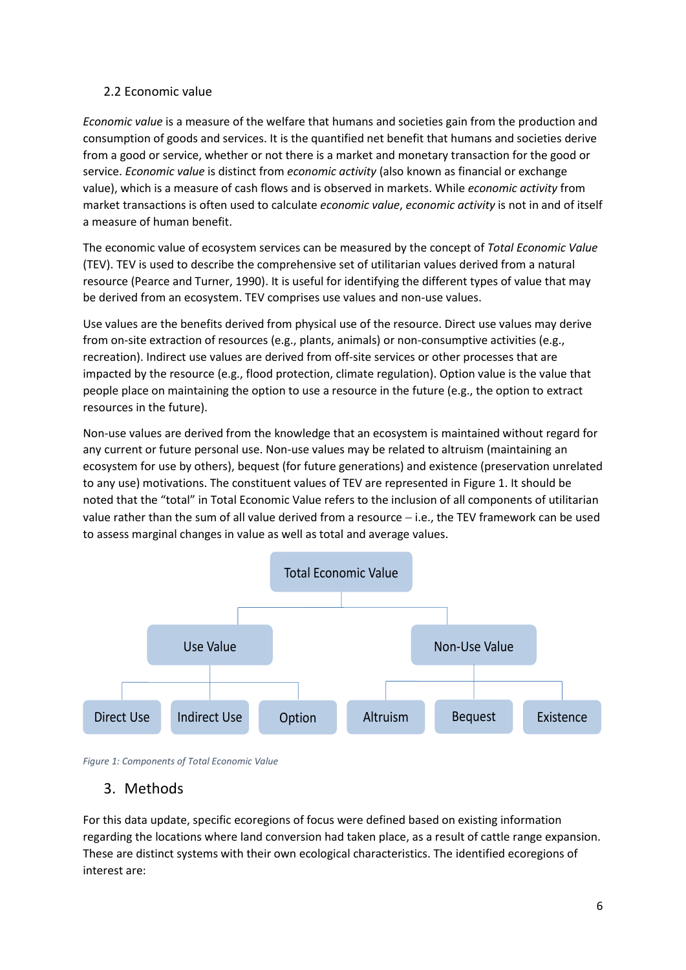#### <span id="page-5-0"></span>2.2 Economic value

*Economic value* is a measure of the welfare that humans and societies gain from the production and consumption of goods and services. It is the quantified net benefit that humans and societies derive from a good or service, whether or not there is a market and monetary transaction for the good or service. *Economic value* is distinct from *economic activity* (also known as financial or exchange value), which is a measure of cash flows and is observed in markets. While *economic activity* from market transactions is often used to calculate *economic value*, *economic activity* is not in and of itself a measure of human benefit.

The economic value of ecosystem services can be measured by the concept of *Total Economic Value* (TEV). TEV is used to describe the comprehensive set of utilitarian values derived from a natural resource (Pearce and Turner, 1990). It is useful for identifying the different types of value that may be derived from an ecosystem. TEV comprises use values and non-use values.

Use values are the benefits derived from physical use of the resource. Direct use values may derive from on-site extraction of resources (e.g., plants, animals) or non-consumptive activities (e.g., recreation). Indirect use values are derived from off-site services or other processes that are impacted by the resource (e.g., flood protection, climate regulation). Option value is the value that people place on maintaining the option to use a resource in the future (e.g., the option to extract resources in the future).

Non-use values are derived from the knowledge that an ecosystem is maintained without regard for any current or future personal use. Non-use values may be related to altruism (maintaining an ecosystem for use by others), bequest (for future generations) and existence (preservation unrelated to any use) motivations. The constituent values of TEV are represented in Figure 1. It should be noted that the "total" in Total Economic Value refers to the inclusion of all components of utilitarian value rather than the sum of all value derived from a resource − i.e., the TEV framework can be used to assess marginal changes in value as well as total and average values.



<span id="page-5-2"></span>Figure 1: Components of Total Economic Value  $\epsilon$  or  $\epsilon$  for  $\epsilon$ 

# <span id="page-5-1"></span>3. Methods

For this data update, specific ecoregions of focus were defined based on existing information regarding the locations where land conversion had taken place, as a result of cattle range expansion. These are distinct systems with their own ecological characteristics. The identified ecoregions of interest are: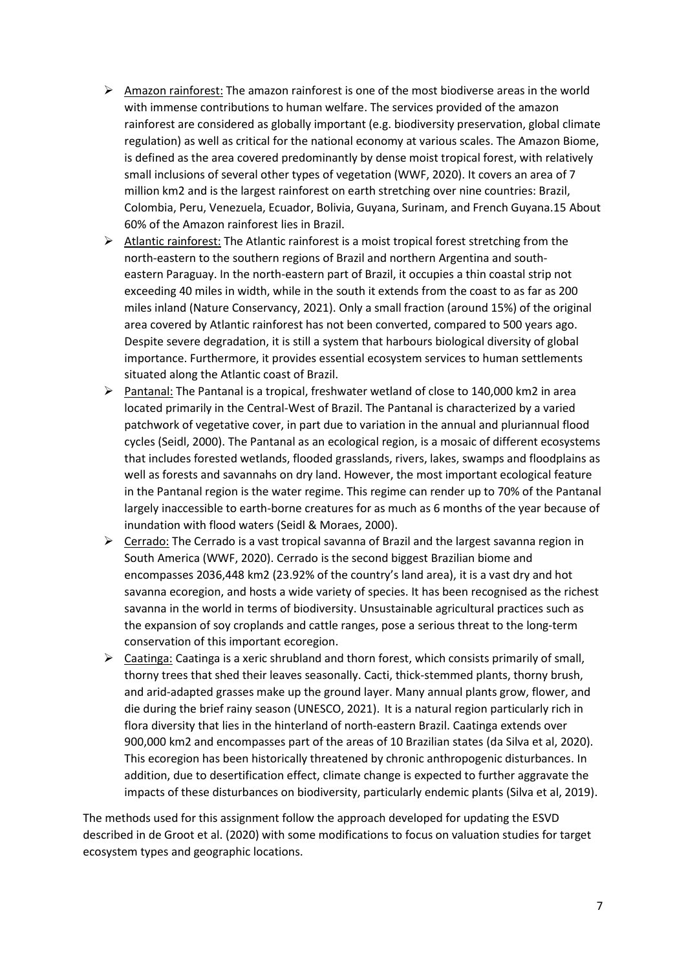- ➢ Amazon rainforest: The amazon rainforest is one of the most biodiverse areas in the world with immense contributions to human welfare. The services provided of the amazon rainforest are considered as globally important (e.g. biodiversity preservation, global climate regulation) as well as critical for the national economy at various scales. The Amazon Biome, is defined as the area covered predominantly by dense moist tropical forest, with relatively small inclusions of several other types of vegetation (WWF, 2020). It covers an area of 7 million km2 and is the largest rainforest on earth stretching over nine countries: Brazil, Colombia, Peru, Venezuela, Ecuador, Bolivia, Guyana, Surinam, and French Guyana.15 About 60% of the Amazon rainforest lies in Brazil.
- ➢ Atlantic rainforest: The Atlantic rainforest is a moist tropical forest stretching from the north-eastern to the southern regions of Brazil and northern Argentina and southeastern Paraguay. In the north-eastern part of Brazil, it occupies a thin coastal strip not exceeding 40 miles in width, while in the south it extends from the coast to as far as 200 miles inland (Nature Conservancy, 2021). Only a small fraction (around 15%) of the original area covered by Atlantic rainforest has not been converted, compared to 500 years ago. Despite severe degradation, it is still a system that harbours biological diversity of global importance. Furthermore, it provides essential ecosystem services to human settlements situated along the Atlantic coast of Brazil.
- $\triangleright$  Pantanal: The Pantanal is a tropical, freshwater wetland of close to 140,000 km2 in area located primarily in the Central-West of Brazil. The Pantanal is characterized by a varied patchwork of vegetative cover, in part due to variation in the annual and pluriannual flood cycles (Seidl, 2000). The Pantanal as an ecological region, is a mosaic of different ecosystems that includes forested wetlands, flooded grasslands, rivers, lakes, swamps and floodplains as well as forests and savannahs on dry land. However, the most important ecological feature in the Pantanal region is the water regime. This regime can render up to 70% of the Pantanal largely inaccessible to earth-borne creatures for as much as 6 months of the year because of inundation with flood waters (Seidl & Moraes, 2000).
- $\triangleright$  Cerrado: The Cerrado is a vast tropical savanna of Brazil and the largest savanna region in South America (WWF, 2020). Cerrado is the second biggest Brazilian biome and encompasses 2036,448 km2 (23.92% of the country's land area), it is a vast dry and hot savanna ecoregion, and hosts a wide variety of species. It has been recognised as the richest savanna in the world in terms of biodiversity. Unsustainable agricultural practices such as the expansion of soy croplands and cattle ranges, pose a serious threat to the long-term conservation of this important ecoregion.
- $\triangleright$  Caatinga: Caatinga is a xeric shrubland and thorn forest, which consists primarily of small, thorny trees that shed their leaves seasonally. Cacti, thick-stemmed plants, thorny brush, and arid-adapted grasses make up the ground layer. Many annual plants grow, flower, and die during the brief rainy season (UNESCO, 2021). It is a natural region particularly rich in flora diversity that lies in the hinterland of north-eastern Brazil. Caatinga extends over 900,000 km2 and encompasses part of the areas of 10 Brazilian states (da Silva et al, 2020). This ecoregion has been historically threatened by chronic anthropogenic disturbances. In addition, due to desertification effect, climate change is expected to further aggravate the impacts of these disturbances on biodiversity, particularly endemic plants (Silva et al, 2019).

The methods used for this assignment follow the approach developed for updating the ESVD described in de Groot et al. (2020) with some modifications to focus on valuation studies for target ecosystem types and geographic locations.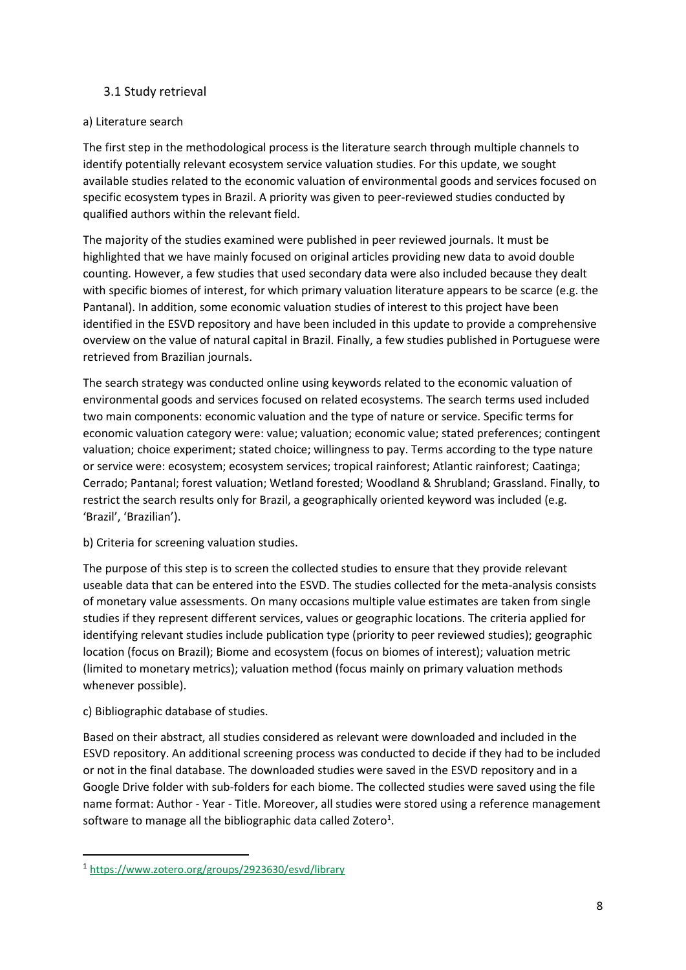#### <span id="page-7-0"></span>3.1 Study retrieval

#### a) Literature search

The first step in the methodological process is the literature search through multiple channels to identify potentially relevant ecosystem service valuation studies. For this update, we sought available studies related to the economic valuation of environmental goods and services focused on specific ecosystem types in Brazil. A priority was given to peer-reviewed studies conducted by qualified authors within the relevant field.

The majority of the studies examined were published in peer reviewed journals. It must be highlighted that we have mainly focused on original articles providing new data to avoid double counting. However, a few studies that used secondary data were also included because they dealt with specific biomes of interest, for which primary valuation literature appears to be scarce (e.g. the Pantanal). In addition, some economic valuation studies of interest to this project have been identified in the ESVD repository and have been included in this update to provide a comprehensive overview on the value of natural capital in Brazil. Finally, a few studies published in Portuguese were retrieved from Brazilian journals.

The search strategy was conducted online using keywords related to the economic valuation of environmental goods and services focused on related ecosystems. The search terms used included two main components: economic valuation and the type of nature or service. Specific terms for economic valuation category were: value; valuation; economic value; stated preferences; contingent valuation; choice experiment; stated choice; willingness to pay. Terms according to the type nature or service were: ecosystem; ecosystem services; tropical rainforest; Atlantic rainforest; Caatinga; Cerrado; Pantanal; forest valuation; Wetland forested; Woodland & Shrubland; Grassland. Finally, to restrict the search results only for Brazil, a geographically oriented keyword was included (e.g. 'Brazil', 'Brazilian').

b) Criteria for screening valuation studies.

The purpose of this step is to screen the collected studies to ensure that they provide relevant useable data that can be entered into the ESVD. The studies collected for the meta-analysis consists of monetary value assessments. On many occasions multiple value estimates are taken from single studies if they represent different services, values or geographic locations. The criteria applied for identifying relevant studies include publication type (priority to peer reviewed studies); geographic location (focus on Brazil); Biome and ecosystem (focus on biomes of interest); valuation metric (limited to monetary metrics); valuation method (focus mainly on primary valuation methods whenever possible).

c) Bibliographic database of studies.

Based on their abstract, all studies considered as relevant were downloaded and included in the ESVD repository. An additional screening process was conducted to decide if they had to be included or not in the final database. The downloaded studies were saved in the ESVD repository and in a Google Drive folder with sub-folders for each biome. The collected studies were saved using the file name format: Author - Year - Title. Moreover, all studies were stored using a reference management software to manage all the bibliographic data called Zotero<sup>1</sup>.

<sup>1</sup> <https://www.zotero.org/groups/2923630/esvd/library>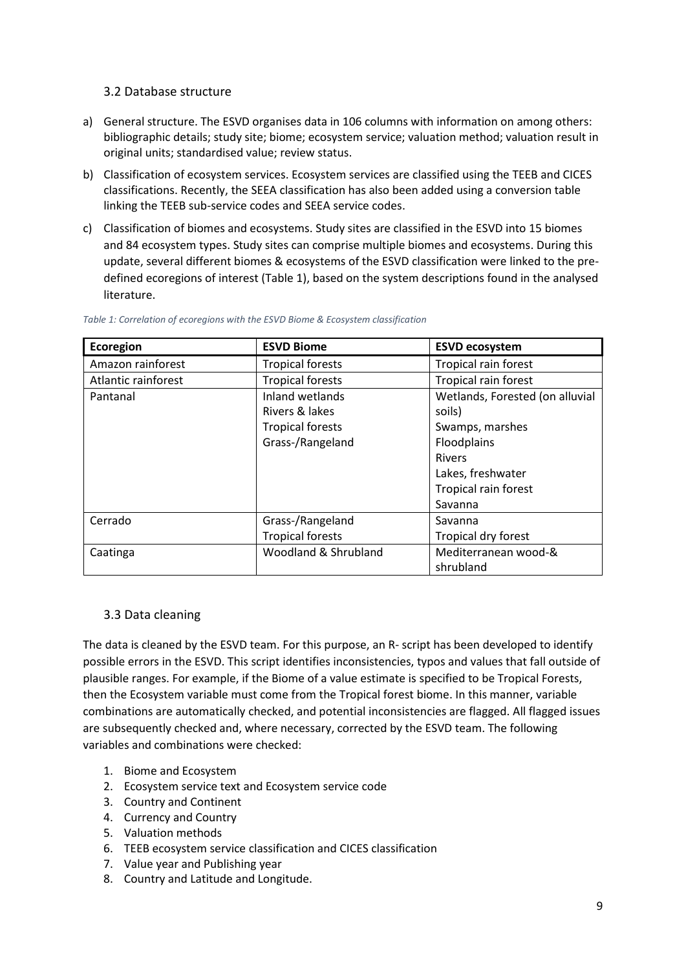#### <span id="page-8-0"></span>3.2 Database structure

- a) General structure. The ESVD organises data in 106 columns with information on among others: bibliographic details; study site; biome; ecosystem service; valuation method; valuation result in original units; standardised value; review status.
- b) Classification of ecosystem services. Ecosystem services are classified using the TEEB and CICES classifications. Recently, the SEEA classification has also been added using a conversion table linking the TEEB sub-service codes and SEEA service codes.
- c) Classification of biomes and ecosystems. Study sites are classified in the ESVD into 15 biomes and 84 ecosystem types. Study sites can comprise multiple biomes and ecosystems. During this update, several different biomes & ecosystems of the ESVD classification were linked to the predefined ecoregions of interest (Table 1), based on the system descriptions found in the analysed literature.

| <b>Ecoregion</b>    | <b>ESVD Biome</b>                            | <b>ESVD ecosystem</b>           |  |
|---------------------|----------------------------------------------|---------------------------------|--|
| Amazon rainforest   | <b>Tropical forests</b>                      | Tropical rain forest            |  |
| Atlantic rainforest | <b>Tropical forests</b>                      | Tropical rain forest            |  |
| Pantanal            | Inland wetlands                              | Wetlands, Forested (on alluvial |  |
|                     | Rivers & lakes                               | soils)                          |  |
|                     | <b>Tropical forests</b>                      | Swamps, marshes                 |  |
|                     | Grass-/Rangeland                             | Floodplains                     |  |
|                     |                                              | <b>Rivers</b>                   |  |
|                     |                                              | Lakes, freshwater               |  |
|                     |                                              | Tropical rain forest            |  |
|                     |                                              | Savanna                         |  |
| Cerrado             | Grass-/Rangeland                             | Savanna                         |  |
|                     | <b>Tropical forests</b>                      | Tropical dry forest             |  |
| Caatinga            | Mediterranean wood-&<br>Woodland & Shrubland |                                 |  |
|                     |                                              | shrubland                       |  |

<span id="page-8-2"></span>*Table 1: Correlation of ecoregions with the ESVD Biome & Ecosystem classification*

# <span id="page-8-1"></span>3.3 Data cleaning

The data is cleaned by the ESVD team. For this purpose, an R- script has been developed to identify possible errors in the ESVD. This script identifies inconsistencies, typos and values that fall outside of plausible ranges. For example, if the Biome of a value estimate is specified to be Tropical Forests, then the Ecosystem variable must come from the Tropical forest biome. In this manner, variable combinations are automatically checked, and potential inconsistencies are flagged. All flagged issues are subsequently checked and, where necessary, corrected by the ESVD team. The following variables and combinations were checked:

- 1. Biome and Ecosystem
- 2. Ecosystem service text and Ecosystem service code
- 3. Country and Continent
- 4. Currency and Country
- 5. Valuation methods
- 6. TEEB ecosystem service classification and CICES classification
- 7. Value year and Publishing year
- 8. Country and Latitude and Longitude.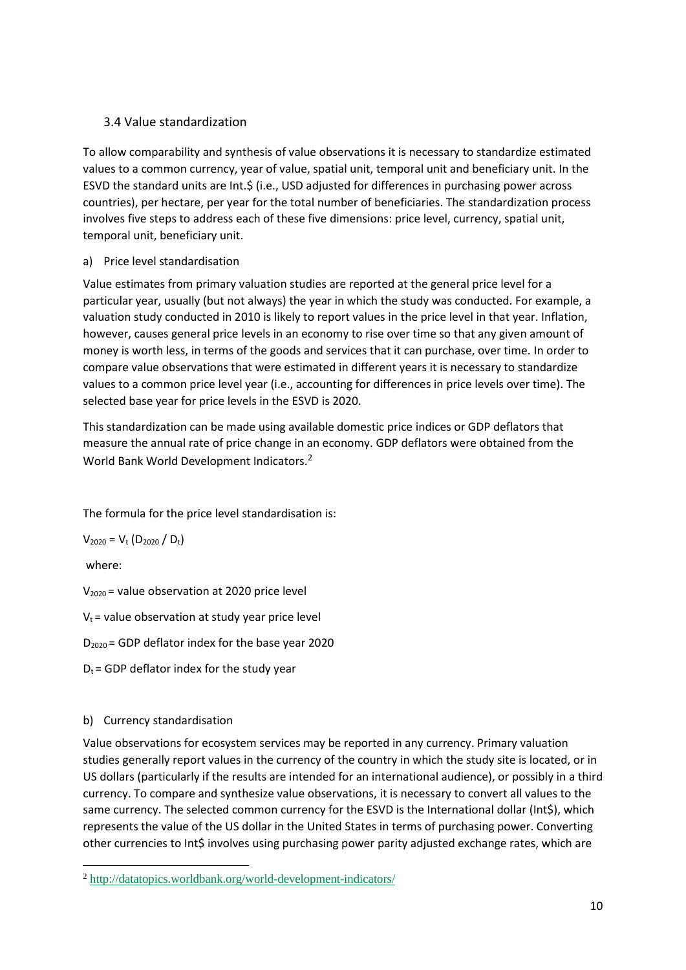# <span id="page-9-0"></span>3.4 Value standardization

To allow comparability and synthesis of value observations it is necessary to standardize estimated values to a common currency, year of value, spatial unit, temporal unit and beneficiary unit. In the ESVD the standard units are Int.\$ (i.e., USD adjusted for differences in purchasing power across countries), per hectare, per year for the total number of beneficiaries. The standardization process involves five steps to address each of these five dimensions: price level, currency, spatial unit, temporal unit, beneficiary unit.

#### a) Price level standardisation

Value estimates from primary valuation studies are reported at the general price level for a particular year, usually (but not always) the year in which the study was conducted. For example, a valuation study conducted in 2010 is likely to report values in the price level in that year. Inflation, however, causes general price levels in an economy to rise over time so that any given amount of money is worth less, in terms of the goods and services that it can purchase, over time. In order to compare value observations that were estimated in different years it is necessary to standardize values to a common price level year (i.e., accounting for differences in price levels over time). The selected base year for price levels in the ESVD is 2020.

This standardization can be made using available domestic price indices or GDP deflators that measure the annual rate of price change in an economy. GDP deflators were obtained from the World Bank World Development Indicators.<sup>2</sup>

The formula for the price level standardisation is:

 $V_{2020} = V_t (D_{2020} / D_t)$ 

where:

 $V_{2020}$  = value observation at 2020 price level

 $V_t$  = value observation at study year price level

 $D_{2020}$  = GDP deflator index for the base year 2020

 $D_t$  = GDP deflator index for the study year

# b) Currency standardisation

Value observations for ecosystem services may be reported in any currency. Primary valuation studies generally report values in the currency of the country in which the study site is located, or in US dollars (particularly if the results are intended for an international audience), or possibly in a third currency. To compare and synthesize value observations, it is necessary to convert all values to the same currency. The selected common currency for the ESVD is the International dollar (Int\$), which represents the value of the US dollar in the United States in terms of purchasing power. Converting other currencies to Int\$ involves using purchasing power parity adjusted exchange rates, which are

<sup>2</sup> <http://datatopics.worldbank.org/world-development-indicators/>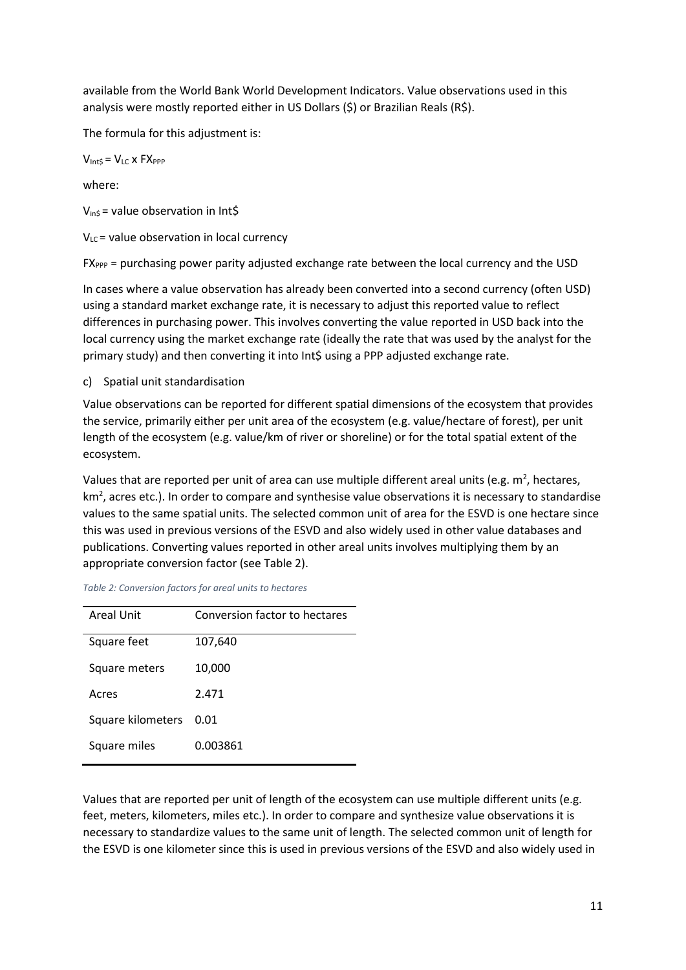available from the World Bank World Development Indicators. Value observations used in this analysis were mostly reported either in US Dollars (\$) or Brazilian Reals (R\$).

The formula for this adjustment is:

 $V_{\text{IntS}} = V_{\text{LC}} \times FX_{\text{PPP}}$ 

where:

 $V_{ins}$  = value observation in Int\$

 $V_{LC}$  = value observation in local currency

FX<sub>PPP</sub> = purchasing power parity adjusted exchange rate between the local currency and the USD

In cases where a value observation has already been converted into a second currency (often USD) using a standard market exchange rate, it is necessary to adjust this reported value to reflect differences in purchasing power. This involves converting the value reported in USD back into the local currency using the market exchange rate (ideally the rate that was used by the analyst for the primary study) and then converting it into Int\$ using a PPP adjusted exchange rate.

c) Spatial unit standardisation

Value observations can be reported for different spatial dimensions of the ecosystem that provides the service, primarily either per unit area of the ecosystem (e.g. value/hectare of forest), per unit length of the ecosystem (e.g. value/km of river or shoreline) or for the total spatial extent of the ecosystem.

Values that are reported per unit of area can use multiple different areal units (e.g.  $m^2$ , hectares,  $km<sup>2</sup>$ , acres etc.). In order to compare and synthesise value observations it is necessary to standardise values to the same spatial units. The selected common unit of area for the ESVD is one hectare since this was used in previous versions of the ESVD and also widely used in other value databases and publications. Converting values reported in other areal units involves multiplying them by an appropriate conversion factor (see Table 2).

| <b>Areal Unit</b> | Conversion factor to hectares |
|-------------------|-------------------------------|
| Square feet       | 107,640                       |
| Square meters     | 10,000                        |
| Acres             | 2.471                         |
| Square kilometers | 0.01                          |
| Square miles      | 0.003861                      |

<span id="page-10-0"></span>

| Table 2: Conversion factors for areal units to hectares |  |
|---------------------------------------------------------|--|
|---------------------------------------------------------|--|

Values that are reported per unit of length of the ecosystem can use multiple different units (e.g. feet, meters, kilometers, miles etc.). In order to compare and synthesize value observations it is necessary to standardize values to the same unit of length. The selected common unit of length for the ESVD is one kilometer since this is used in previous versions of the ESVD and also widely used in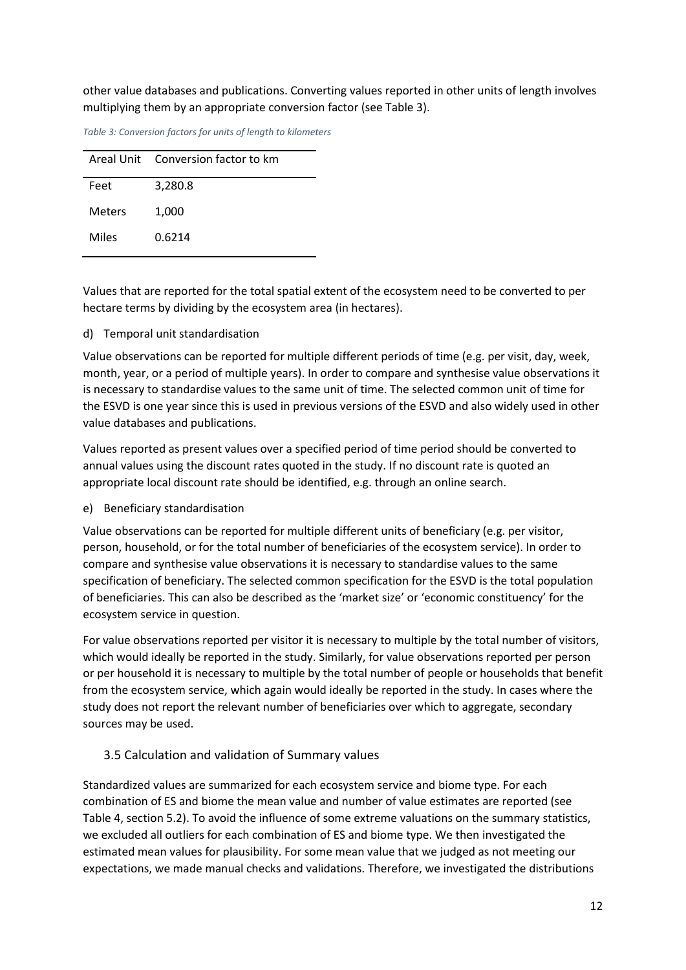other value databases and publications. Converting values reported in other units of length involves multiplying them by an appropriate conversion factor (see Table 3).

|        | Areal Unit Conversion factor to km |
|--------|------------------------------------|
| Feet   | 3,280.8                            |
| Meters | 1,000                              |
| Miles  | 0.6214                             |

<span id="page-11-1"></span>*Table 3: Conversion factors for units of length to kilometers*

Values that are reported for the total spatial extent of the ecosystem need to be converted to per hectare terms by dividing by the ecosystem area (in hectares).

#### d) Temporal unit standardisation

Value observations can be reported for multiple different periods of time (e.g. per visit, day, week, month, year, or a period of multiple years). In order to compare and synthesise value observations it is necessary to standardise values to the same unit of time. The selected common unit of time for the ESVD is one year since this is used in previous versions of the ESVD and also widely used in other value databases and publications.

Values reported as present values over a specified period of time period should be converted to annual values using the discount rates quoted in the study. If no discount rate is quoted an appropriate local discount rate should be identified, e.g. through an online search.

#### e) Beneficiary standardisation

Value observations can be reported for multiple different units of beneficiary (e.g. per visitor, person, household, or for the total number of beneficiaries of the ecosystem service). In order to compare and synthesise value observations it is necessary to standardise values to the same specification of beneficiary. The selected common specification for the ESVD is the total population of beneficiaries. This can also be described as the 'market size' or 'economic constituency' for the ecosystem service in question.

For value observations reported per visitor it is necessary to multiple by the total number of visitors, which would ideally be reported in the study. Similarly, for value observations reported per person or per household it is necessary to multiple by the total number of people or households that benefit from the ecosystem service, which again would ideally be reported in the study. In cases where the study does not report the relevant number of beneficiaries over which to aggregate, secondary sources may be used.

# <span id="page-11-0"></span>3.5 Calculation and validation of Summary values

Standardized values are summarized for each ecosystem service and biome type. For each combination of ES and biome the mean value and number of value estimates are reported (see Table 4, section 5.2). To avoid the influence of some extreme valuations on the summary statistics, we excluded all outliers for each combination of ES and biome type. We then investigated the estimated mean values for plausibility. For some mean value that we judged as not meeting our expectations, we made manual checks and validations. Therefore, we investigated the distributions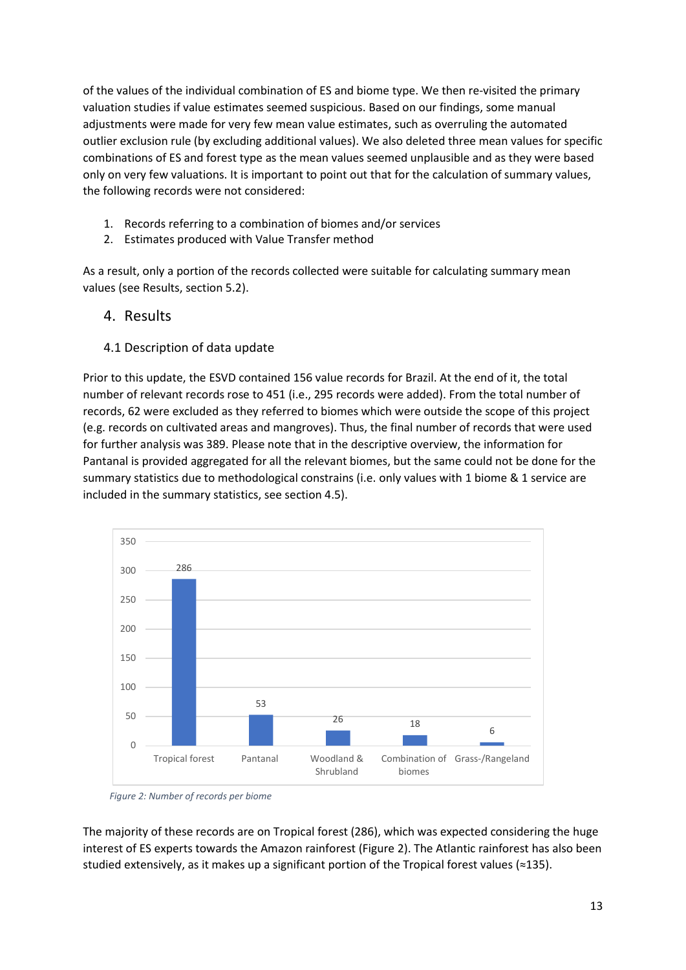of the values of the individual combination of ES and biome type. We then re-visited the primary valuation studies if value estimates seemed suspicious. Based on our findings, some manual adjustments were made for very few mean value estimates, such as overruling the automated outlier exclusion rule (by excluding additional values). We also deleted three mean values for specific combinations of ES and forest type as the mean values seemed unplausible and as they were based only on very few valuations. It is important to point out that for the calculation of summary values, the following records were not considered:

- 1. Records referring to a combination of biomes and/or services
- 2. Estimates produced with Value Transfer method

As a result, only a portion of the records collected were suitable for calculating summary mean values (see Results, section 5.2).

- <span id="page-12-0"></span>4. Results
- <span id="page-12-1"></span>4.1 Description of data update

Prior to this update, the ESVD contained 156 value records for Brazil. At the end of it, the total number of relevant records rose to 451 (i.e., 295 records were added). From the total number of records, 62 were excluded as they referred to biomes which were outside the scope of this project (e.g. records on cultivated areas and mangroves). Thus, the final number of records that were used for further analysis was 389. Please note that in the descriptive overview, the information for Pantanal is provided aggregated for all the relevant biomes, but the same could not be done for the summary statistics due to methodological constrains (i.e. only values with 1 biome & 1 service are included in the summary statistics, see section 4.5).



*Figure 2: Number of records per biome*

The majority of these records are on Tropical forest (286), which was expected considering the huge interest of ES experts towards the Amazon rainforest (Figure 2). The Atlantic rainforest has also been studied extensively, as it makes up a significant portion of the Tropical forest values (≈135).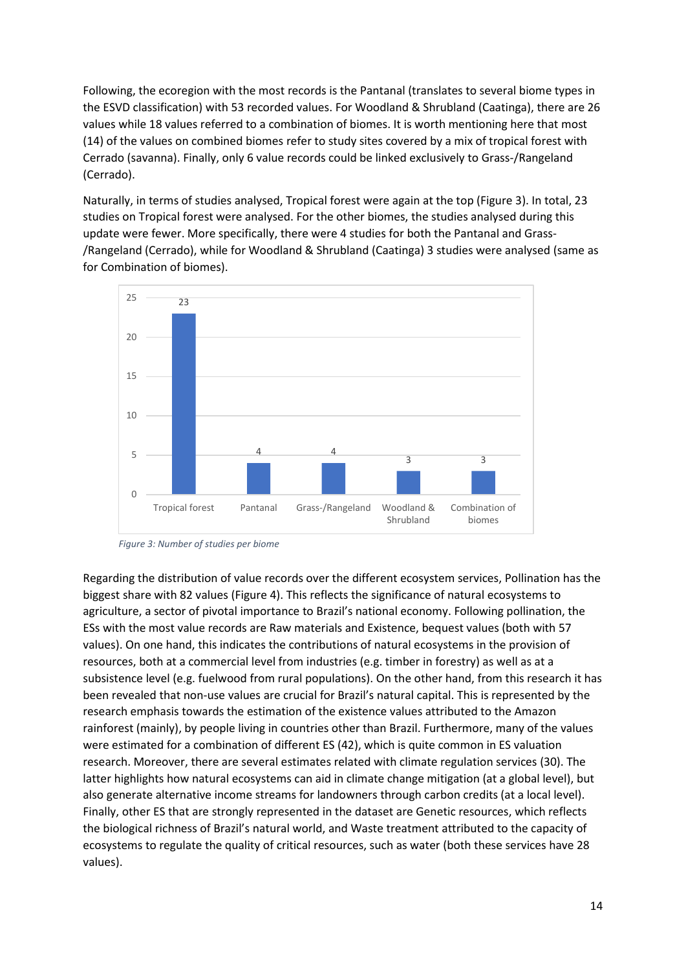Following, the ecoregion with the most records is the Pantanal (translates to several biome types in the ESVD classification) with 53 recorded values. For Woodland & Shrubland (Caatinga), there are 26 values while 18 values referred to a combination of biomes. It is worth mentioning here that most (14) of the values on combined biomes refer to study sites covered by a mix of tropical forest with Cerrado (savanna). Finally, only 6 value records could be linked exclusively to Grass-/Rangeland (Cerrado).

Naturally, in terms of studies analysed, Tropical forest were again at the top (Figure 3). In total, 23 studies on Tropical forest were analysed. For the other biomes, the studies analysed during this update were fewer. More specifically, there were 4 studies for both the Pantanal and Grass- /Rangeland (Cerrado), while for Woodland & Shrubland (Caatinga) 3 studies were analysed (same as for Combination of biomes).



*Figure 3: Number of studies per biome*

Regarding the distribution of value records over the different ecosystem services, Pollination has the biggest share with 82 values (Figure 4). This reflects the significance of natural ecosystems to agriculture, a sector of pivotal importance to Brazil's national economy. Following pollination, the ESs with the most value records are Raw materials and Existence, bequest values (both with 57 values). On one hand, this indicates the contributions of natural ecosystems in the provision of resources, both at a commercial level from industries (e.g. timber in forestry) as well as at a subsistence level (e.g. fuelwood from rural populations). On the other hand, from this research it has been revealed that non-use values are crucial for Brazil's natural capital. This is represented by the research emphasis towards the estimation of the existence values attributed to the Amazon rainforest (mainly), by people living in countries other than Brazil. Furthermore, many of the values were estimated for a combination of different ES (42), which is quite common in ES valuation research. Moreover, there are several estimates related with climate regulation services (30). The latter highlights how natural ecosystems can aid in climate change mitigation (at a global level), but also generate alternative income streams for landowners through carbon credits (at a local level). Finally, other ES that are strongly represented in the dataset are Genetic resources, which reflects the biological richness of Brazil's natural world, and Waste treatment attributed to the capacity of ecosystems to regulate the quality of critical resources, such as water (both these services have 28 values).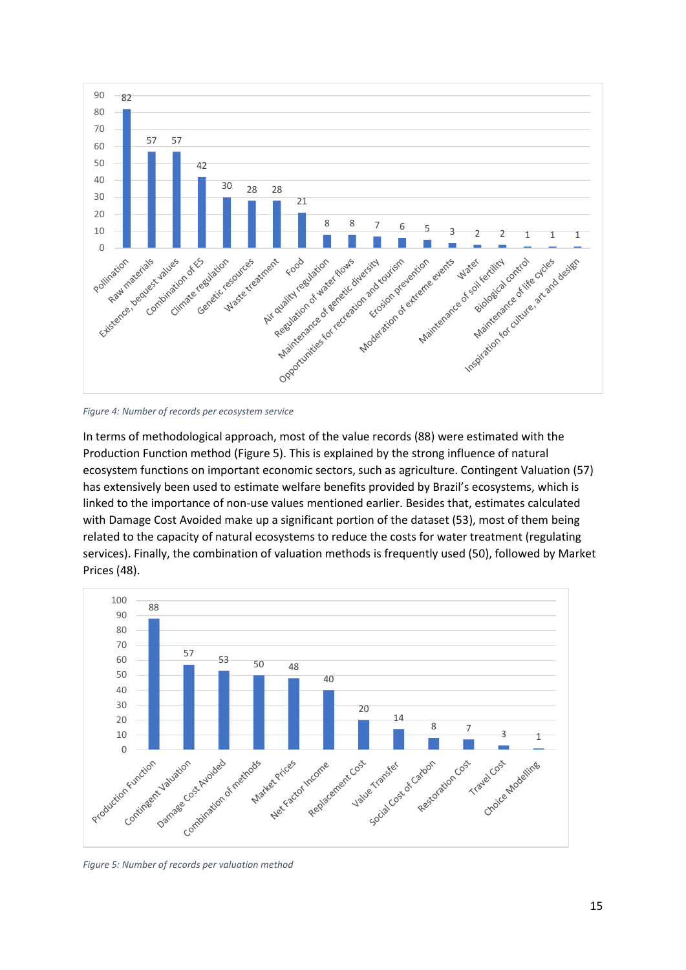

<span id="page-14-0"></span>*Figure 4: Number of records per ecosystem service*

In terms of methodological approach, most of the value records (88) were estimated with the Production Function method (Figure 5). This is explained by the strong influence of natural ecosystem functions on important economic sectors, such as agriculture. Contingent Valuation (57) has extensively been used to estimate welfare benefits provided by Brazil's ecosystems, which is linked to the importance of non-use values mentioned earlier. Besides that, estimates calculated with Damage Cost Avoided make up a significant portion of the dataset (53), most of them being related to the capacity of natural ecosystems to reduce the costs for water treatment (regulating services). Finally, the combination of valuation methods is frequently used (50), followed by Market Prices (48).



<span id="page-14-1"></span>*Figure 5: Number of records per valuation method*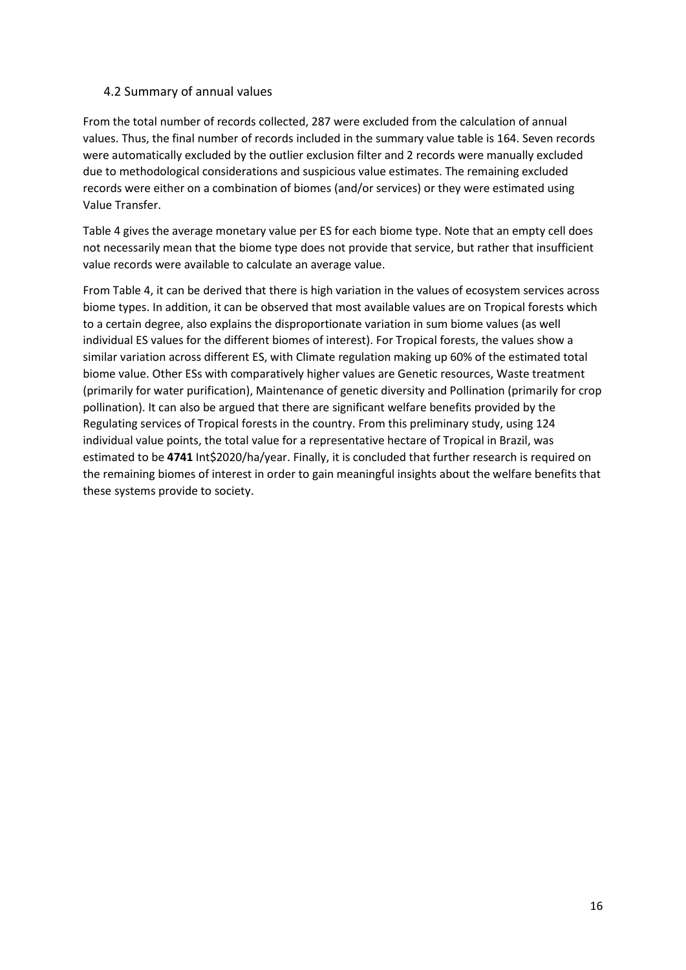#### <span id="page-15-0"></span>4.2 Summary of annual values

From the total number of records collected, 287 were excluded from the calculation of annual values. Thus, the final number of records included in the summary value table is 164. Seven records were automatically excluded by the outlier exclusion filter and 2 records were manually excluded due to methodological considerations and suspicious value estimates. The remaining excluded records were either on a combination of biomes (and/or services) or they were estimated using Value Transfer.

Table 4 gives the average monetary value per ES for each biome type. Note that an empty cell does not necessarily mean that the biome type does not provide that service, but rather that insufficient value records were available to calculate an average value.

From Table 4, it can be derived that there is high variation in the values of ecosystem services across biome types. In addition, it can be observed that most available values are on Tropical forests which to a certain degree, also explains the disproportionate variation in sum biome values (as well individual ES values for the different biomes of interest). For Tropical forests, the values show a similar variation across different ES, with Climate regulation making up 60% of the estimated total biome value. Other ESs with comparatively higher values are Genetic resources, Waste treatment (primarily for water purification), Maintenance of genetic diversity and Pollination (primarily for crop pollination). It can also be argued that there are significant welfare benefits provided by the Regulating services of Tropical forests in the country. From this preliminary study, using 124 individual value points, the total value for a representative hectare of Tropical in Brazil, was estimated to be **4741** Int\$2020/ha/year. Finally, it is concluded that further research is required on the remaining biomes of interest in order to gain meaningful insights about the welfare benefits that these systems provide to society.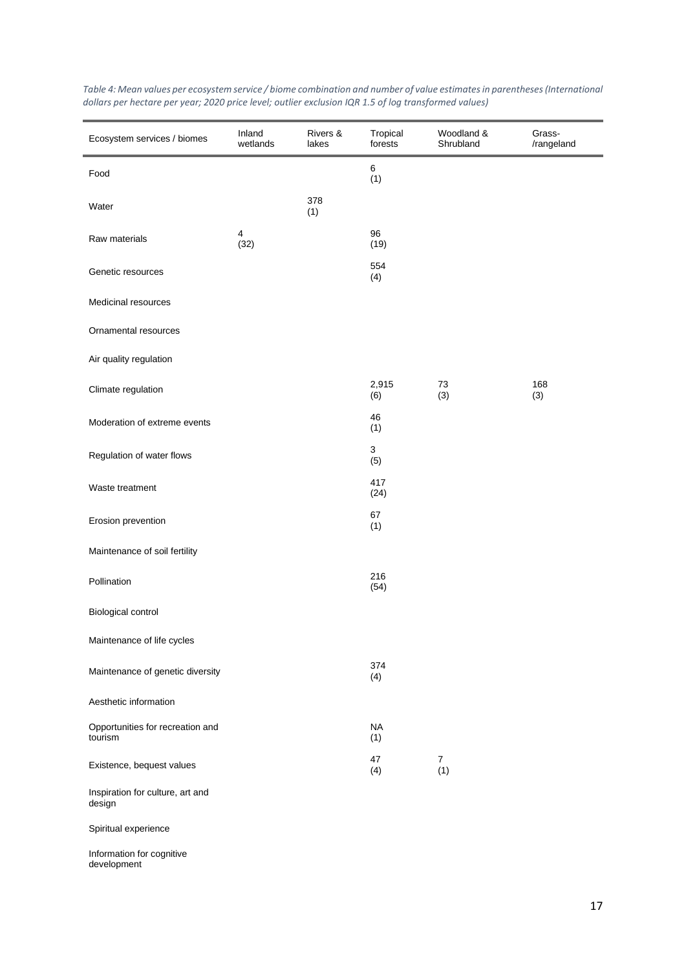| Ecosystem services / biomes                 | Inland<br>wetlands              | Rivers &<br>lakes | Tropical<br>forests | Woodland &<br>Shrubland | Grass-<br>/rangeland |
|---------------------------------------------|---------------------------------|-------------------|---------------------|-------------------------|----------------------|
| Food                                        |                                 |                   | 6<br>(1)            |                         |                      |
| Water                                       |                                 | 378<br>(1)        |                     |                         |                      |
| Raw materials                               | $\overline{\mathbf{4}}$<br>(32) |                   | 96<br>(19)          |                         |                      |
| Genetic resources                           |                                 |                   | 554<br>(4)          |                         |                      |
| Medicinal resources                         |                                 |                   |                     |                         |                      |
| Ornamental resources                        |                                 |                   |                     |                         |                      |
| Air quality regulation                      |                                 |                   |                     |                         |                      |
| Climate regulation                          |                                 |                   | 2,915<br>(6)        | 73<br>(3)               | 168<br>(3)           |
| Moderation of extreme events                |                                 |                   | 46<br>(1)           |                         |                      |
| Regulation of water flows                   |                                 |                   | 3<br>(5)            |                         |                      |
| Waste treatment                             |                                 |                   | 417<br>(24)         |                         |                      |
| Erosion prevention                          |                                 |                   | 67<br>(1)           |                         |                      |
| Maintenance of soil fertility               |                                 |                   |                     |                         |                      |
| Pollination                                 |                                 |                   | 216<br>(54)         |                         |                      |
| Biological control                          |                                 |                   |                     |                         |                      |
| Maintenance of life cycles                  |                                 |                   |                     |                         |                      |
| Maintenance of genetic diversity            |                                 |                   | 374<br>(4)          |                         |                      |
| Aesthetic information                       |                                 |                   |                     |                         |                      |
| Opportunities for recreation and<br>tourism |                                 |                   | <b>NA</b><br>(1)    |                         |                      |
| Existence, bequest values                   |                                 |                   | 47<br>(4)           | $\overline{7}$<br>(1)   |                      |
| Inspiration for culture, art and<br>design  |                                 |                   |                     |                         |                      |
| Spiritual experience                        |                                 |                   |                     |                         |                      |
| Information for cognitive<br>development    |                                 |                   |                     |                         |                      |

<span id="page-16-0"></span>*Table 4: Mean values per ecosystem service / biome combination and number of value estimates in parentheses (International dollars per hectare per year; 2020 price level; outlier exclusion IQR 1.5 of log transformed values)*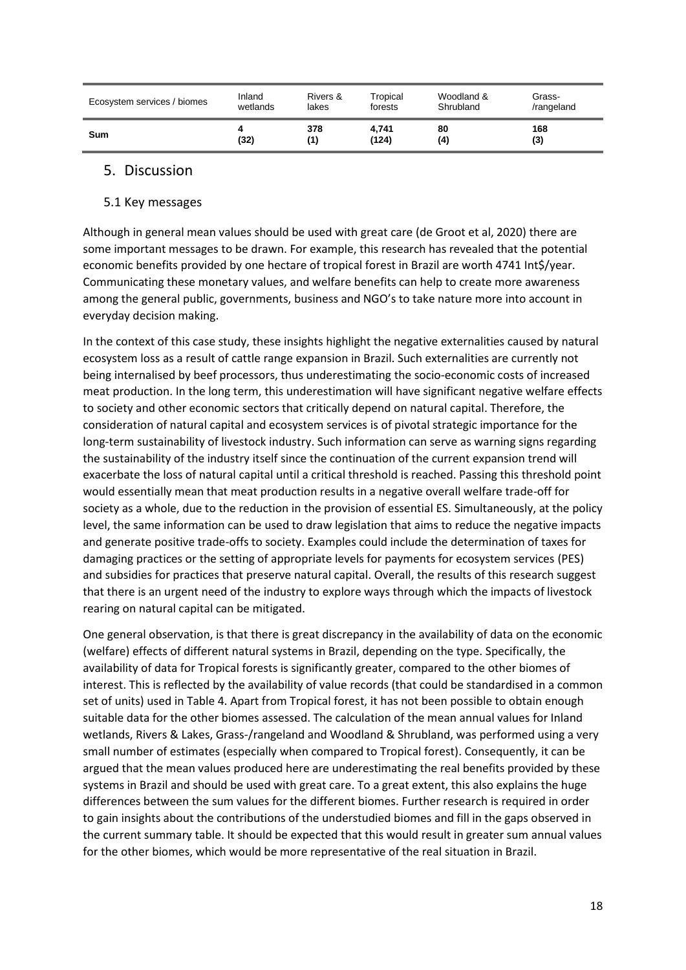| Ecosystem services / biomes | Inland   | Rivers & | Tropical | Woodland & | Grass-     |
|-----------------------------|----------|----------|----------|------------|------------|
|                             | wetlands | lakes    | forests  | Shrubland  | /rangeland |
| Sum                         | 4        | 378      | 4,741    | 80         | 168        |
|                             | (32)     | (1)      | (124)    | (4)        | (3)        |

## <span id="page-17-0"></span>5. Discussion

#### <span id="page-17-1"></span>5.1 Key messages

Although in general mean values should be used with great care (de Groot et al, 2020) there are some important messages to be drawn. For example, this research has revealed that the potential economic benefits provided by one hectare of tropical forest in Brazil are worth 4741 Int\$/year. Communicating these monetary values, and welfare benefits can help to create more awareness among the general public, governments, business and NGO's to take nature more into account in everyday decision making.

In the context of this case study, these insights highlight the negative externalities caused by natural ecosystem loss as a result of cattle range expansion in Brazil. Such externalities are currently not being internalised by beef processors, thus underestimating the socio-economic costs of increased meat production. In the long term, this underestimation will have significant negative welfare effects to society and other economic sectors that critically depend on natural capital. Therefore, the consideration of natural capital and ecosystem services is of pivotal strategic importance for the long-term sustainability of livestock industry. Such information can serve as warning signs regarding the sustainability of the industry itself since the continuation of the current expansion trend will exacerbate the loss of natural capital until a critical threshold is reached. Passing this threshold point would essentially mean that meat production results in a negative overall welfare trade-off for society as a whole, due to the reduction in the provision of essential ES. Simultaneously, at the policy level, the same information can be used to draw legislation that aims to reduce the negative impacts and generate positive trade-offs to society. Examples could include the determination of taxes for damaging practices or the setting of appropriate levels for payments for ecosystem services (PES) and subsidies for practices that preserve natural capital. Overall, the results of this research suggest that there is an urgent need of the industry to explore ways through which the impacts of livestock rearing on natural capital can be mitigated.

One general observation, is that there is great discrepancy in the availability of data on the economic (welfare) effects of different natural systems in Brazil, depending on the type. Specifically, the availability of data for Tropical forests is significantly greater, compared to the other biomes of interest. This is reflected by the availability of value records (that could be standardised in a common set of units) used in Table 4. Apart from Tropical forest, it has not been possible to obtain enough suitable data for the other biomes assessed. The calculation of the mean annual values for Inland wetlands, Rivers & Lakes, Grass-/rangeland and Woodland & Shrubland, was performed using a very small number of estimates (especially when compared to Tropical forest). Consequently, it can be argued that the mean values produced here are underestimating the real benefits provided by these systems in Brazil and should be used with great care. To a great extent, this also explains the huge differences between the sum values for the different biomes. Further research is required in order to gain insights about the contributions of the understudied biomes and fill in the gaps observed in the current summary table. It should be expected that this would result in greater sum annual values for the other biomes, which would be more representative of the real situation in Brazil.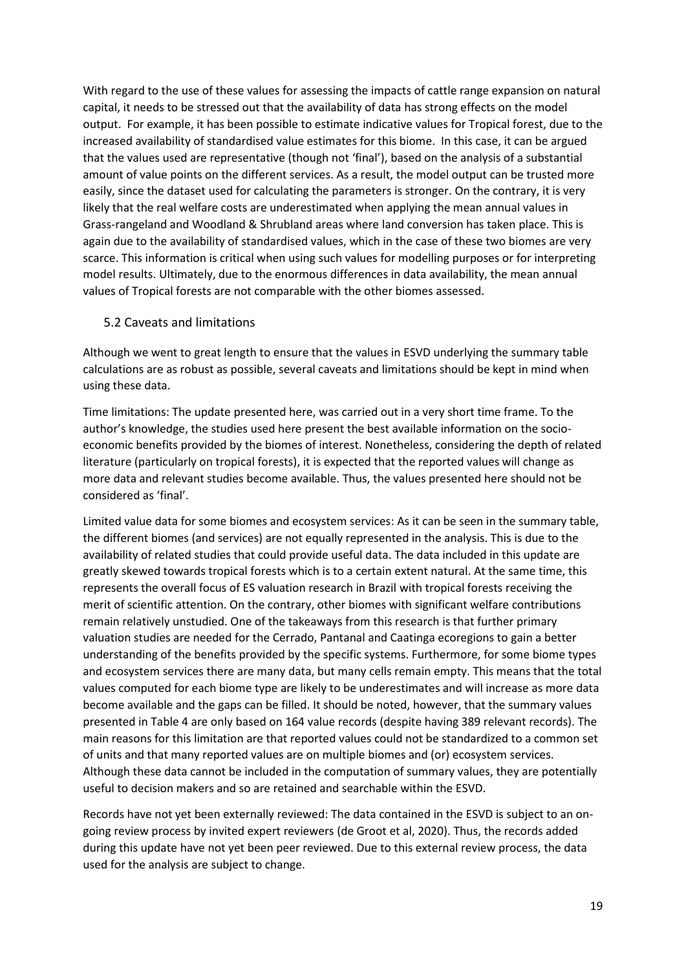With regard to the use of these values for assessing the impacts of cattle range expansion on natural capital, it needs to be stressed out that the availability of data has strong effects on the model output. For example, it has been possible to estimate indicative values for Tropical forest, due to the increased availability of standardised value estimates for this biome. In this case, it can be argued that the values used are representative (though not 'final'), based on the analysis of a substantial amount of value points on the different services. As a result, the model output can be trusted more easily, since the dataset used for calculating the parameters is stronger. On the contrary, it is very likely that the real welfare costs are underestimated when applying the mean annual values in Grass-rangeland and Woodland & Shrubland areas where land conversion has taken place. This is again due to the availability of standardised values, which in the case of these two biomes are very scarce. This information is critical when using such values for modelling purposes or for interpreting model results. Ultimately, due to the enormous differences in data availability, the mean annual values of Tropical forests are not comparable with the other biomes assessed.

#### <span id="page-18-0"></span>5.2 Caveats and limitations

Although we went to great length to ensure that the values in ESVD underlying the summary table calculations are as robust as possible, several caveats and limitations should be kept in mind when using these data.

Time limitations: The update presented here, was carried out in a very short time frame. To the author's knowledge, the studies used here present the best available information on the socioeconomic benefits provided by the biomes of interest. Nonetheless, considering the depth of related literature (particularly on tropical forests), it is expected that the reported values will change as more data and relevant studies become available. Thus, the values presented here should not be considered as 'final'.

Limited value data for some biomes and ecosystem services: As it can be seen in the summary table, the different biomes (and services) are not equally represented in the analysis. This is due to the availability of related studies that could provide useful data. The data included in this update are greatly skewed towards tropical forests which is to a certain extent natural. At the same time, this represents the overall focus of ES valuation research in Brazil with tropical forests receiving the merit of scientific attention. On the contrary, other biomes with significant welfare contributions remain relatively unstudied. One of the takeaways from this research is that further primary valuation studies are needed for the Cerrado, Pantanal and Caatinga ecoregions to gain a better understanding of the benefits provided by the specific systems. Furthermore, for some biome types and ecosystem services there are many data, but many cells remain empty. This means that the total values computed for each biome type are likely to be underestimates and will increase as more data become available and the gaps can be filled. It should be noted, however, that the summary values presented in Table 4 are only based on 164 value records (despite having 389 relevant records). The main reasons for this limitation are that reported values could not be standardized to a common set of units and that many reported values are on multiple biomes and (or) ecosystem services. Although these data cannot be included in the computation of summary values, they are potentially useful to decision makers and so are retained and searchable within the ESVD.

Records have not yet been externally reviewed: The data contained in the ESVD is subject to an ongoing review process by invited expert reviewers (de Groot et al, 2020). Thus, the records added during this update have not yet been peer reviewed. Due to this external review process, the data used for the analysis are subject to change.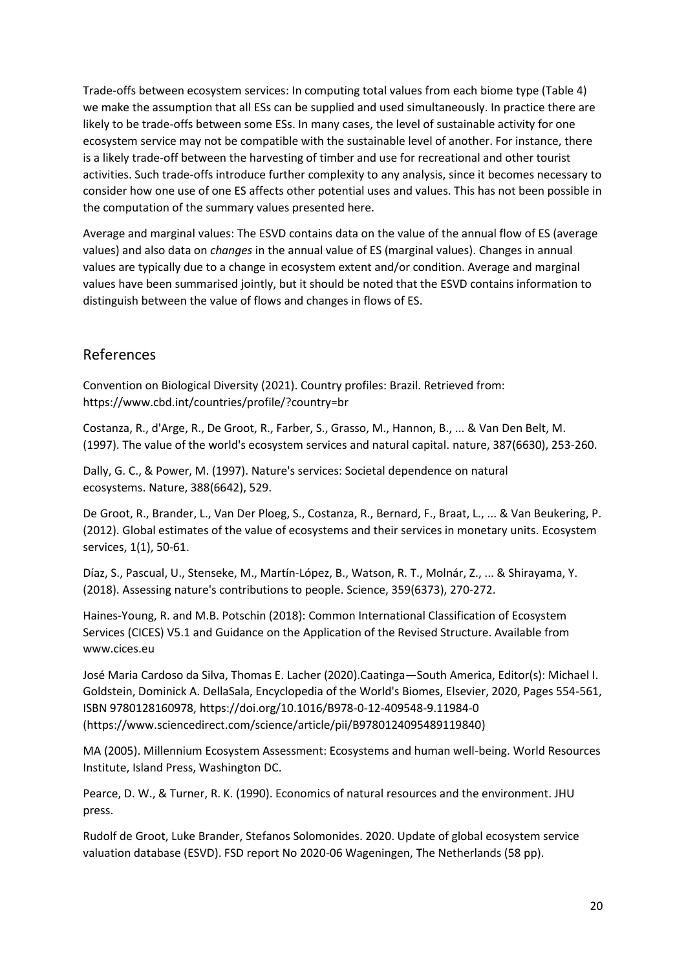Trade-offs between ecosystem services: In computing total values from each biome type (Table 4) we make the assumption that all ESs can be supplied and used simultaneously. In practice there are likely to be trade-offs between some ESs. In many cases, the level of sustainable activity for one ecosystem service may not be compatible with the sustainable level of another. For instance, there is a likely trade-off between the harvesting of timber and use for recreational and other tourist activities. Such trade-offs introduce further complexity to any analysis, since it becomes necessary to consider how one use of one ES affects other potential uses and values. This has not been possible in the computation of the summary values presented here.

Average and marginal values: The ESVD contains data on the value of the annual flow of ES (average values) and also data on *changes* in the annual value of ES (marginal values). Changes in annual values are typically due to a change in ecosystem extent and/or condition. Average and marginal values have been summarised jointly, but it should be noted that the ESVD contains information to distinguish between the value of flows and changes in flows of ES.

# <span id="page-19-0"></span>References

Convention on Biological Diversity (2021). Country profiles: Brazil. Retrieved from: <https://www.cbd.int/countries/profile/?country=br>

Costanza, R., d'Arge, R., De Groot, R., Farber, S., Grasso, M., Hannon, B., ... & Van Den Belt, M. (1997). The value of the world's ecosystem services and natural capital. nature, 387(6630), 253-260.

Dally, G. C., & Power, M. (1997). Nature's services: Societal dependence on natural ecosystems. Nature, 388(6642), 529.

De Groot, R., Brander, L., Van Der Ploeg, S., Costanza, R., Bernard, F., Braat, L., ... & Van Beukering, P. (2012). Global estimates of the value of ecosystems and their services in monetary units. Ecosystem services, 1(1), 50-61.

Díaz, S., Pascual, U., Stenseke, M., Martín-López, B., Watson, R. T., Molnár, Z., ... & Shirayama, Y. (2018). Assessing nature's contributions to people. Science, 359(6373), 270-272.

Haines-Young, R. and M.B. Potschin (2018): Common International Classification of Ecosystem Services (CICES) V5.1 and Guidance on the Application of the Revised Structure. Available from [www.cices.eu](http://www.cices.eu/)

José Maria Cardoso da Silva, Thomas E. Lacher (2020).Caatinga—South America, Editor(s): Michael I. Goldstein, Dominick A. DellaSala, Encyclopedia of the World's Biomes, Elsevier, 2020, Pages 554-561, ISBN 9780128160978,<https://doi.org/10.1016/B978-0-12-409548-9.11984-0> [\(https://www.sciencedirect.com/science/article/pii/B9780124095489119840\)](https://www.sciencedirect.com/science/article/pii/B9780124095489119840)

MA (2005). Millennium Ecosystem Assessment: Ecosystems and human well-being. World Resources Institute, Island Press, Washington DC.

Pearce, D. W., & Turner, R. K. (1990). Economics of natural resources and the environment. JHU press.

Rudolf de Groot, Luke Brander, Stefanos Solomonides. 2020. Update of global ecosystem service valuation database (ESVD). FSD report No 2020-06 Wageningen, The Netherlands (58 pp).